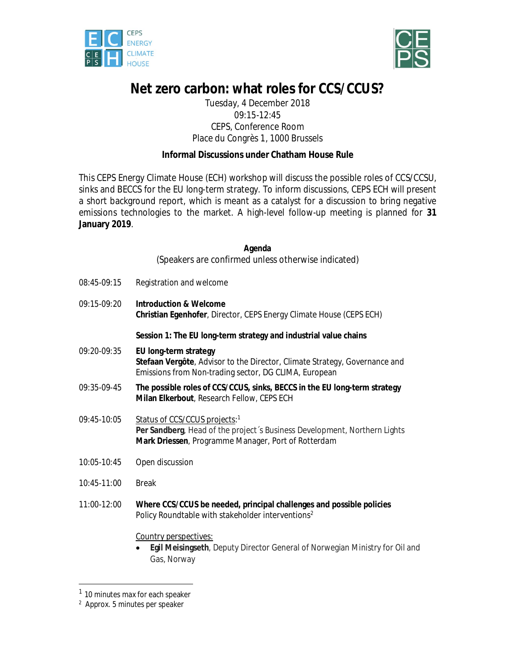



# **Net zero carbon: what roles for CCS/CCUS?**

Tuesday, 4 December 2018 09:15-12:45 CEPS, Conference Room Place du Congrès 1, 1000 Brussels

# **Informal Discussions under Chatham House Rule**

This CEPS Energy Climate House (ECH) workshop will discuss the possible roles of CCS/CCSU, sinks and BECCS for the EU long-term strategy. To inform discussions, CEPS ECH will present a short background report, which is meant as a catalyst for a discussion to bring negative emissions technologies to the market. A high-level follow-up meeting is planned for **31 January 2019**.

#### **Agenda**

(Speakers are confirmed unless otherwise indicated)

| $08:45-09:15$ | Registration and welcome |
|---------------|--------------------------|
|---------------|--------------------------|

09:15-09:20 **Introduction & Welcome Christian Egenhofer**, Director, CEPS Energy Climate House (CEPS ECH)

### **Session 1: The EU long-term strategy and industrial value chains**

- 09:20-09:35 **EU long-term strategy Stefaan Vergôte**, Advisor to the Director, Climate Strategy, Governance and Emissions from Non-trading sector, DG CLIMA, European
- 09:35-09-45 **The possible roles of CCS/CCUS, sinks, BECCS in the EU long-term strategy Milan Elkerbout**, Research Fellow, CEPS ECH
- 09:45-10:05 Status of CCS/CCUS projects:1 **Per Sandberg**, Head of the project´s Business Development, Northern Lights **Mark Driessen**, Programme Manager, Port of Rotterdam
- 10:05-10:45 Open discussion
- 10:45-11:00 Break
- 11:00-12:00 **Where CCS/CCUS be needed, principal challenges and possible policies**  Policy Roundtable with stakeholder interventions<sup>2</sup>

#### Country perspectives:

 **Egil Meisingseth**, Deputy Director General of Norwegian Ministry for Oil and Gas, Norway

-

<sup>&</sup>lt;sup>1</sup> 10 minutes max for each speaker

<sup>2</sup> Approx. 5 minutes per speaker